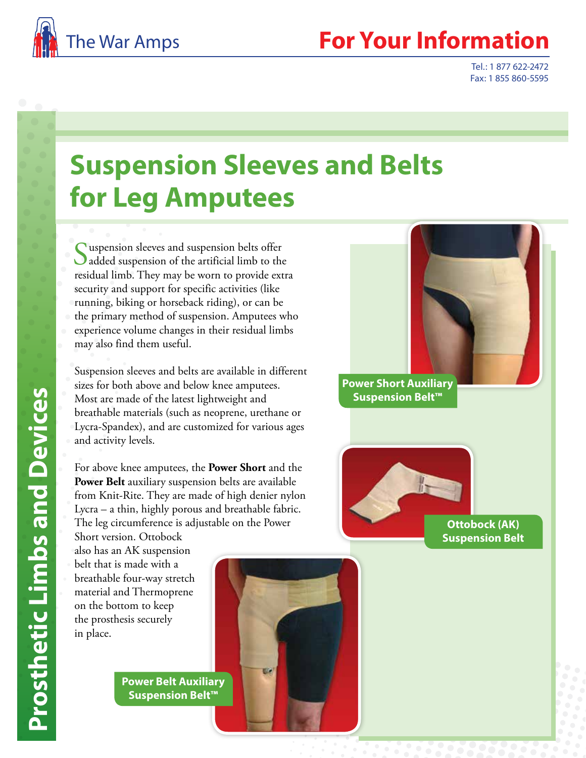

## **Your Information**

Tel.: 1 877 622-2472 Fax: 1 855 860-5595

## **Suspension Sleeves and Belts for Leg Amputees**

Iuspension sleeves and suspension belts offer added suspension of the artificial limb to the residual limb. They may be worn to provide extra security and support for specific activities (like running, biking or horseback riding), or can be the primary method of suspension. Amputees who experience volume changes in their residual limbs may also find them useful.

Suspension sleeves and belts are available in different sizes for both above and below knee amputees. Most are made of the latest lightweight and breathable materials (such as neoprene, urethane or Lycra-Spandex), and are customized for various ages and activity levels.

For above knee amputees, the **Power Short** and the **Power Belt** auxiliary suspension belts are available from Knit-Rite. They are made of high denier nylon Lycra – a thin, highly porous and breathable fabric. The leg circumference is adjustable on the Power

Short version. Ottobock also has an AK suspension belt that is made with a breathable four-way stretch material and Thermoprene on the bottom to keep the prosthesis securely in place.

> **Power Belt Auxiliary Suspension Belt™**



**Power Short Auxiliary Suspension Belt™**



**Ottobock (AK) Suspension Belt**